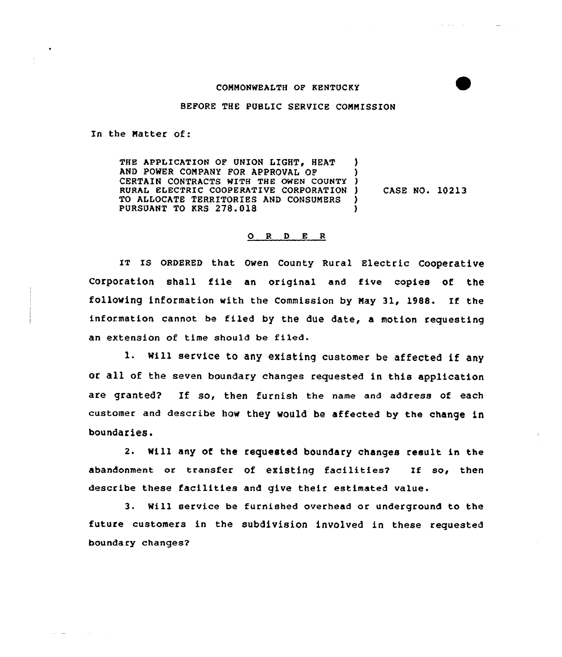## COMMONWEALTH OF KENTUCKY

autorium and

## BEFORE THE PUBLIC SERVICE COMMISSION

In the Natter of:

THE APPLICATION OF UNION LIGHT, HEAT AND POWER COMPANY FOR APPROVAL OF CERTAIN CONTRACTS WITH THE OMEN COUNTY ) RURAL ELECTRIC COOPERATIVE CORPORATION ) TO ALLOCATE TERRITORIES AND CONSUMERS PURSUANT TO KRS 278.018 CASE NO. 10213

## O R D E R

IT Is QRDERED that owen county Rural Electric cooperative Corporation shall file an original and five copies of the following information with the Commission by Nay 31, 1988. If the information cannot be filed by the due date, a motion requesting an extension of time should be filed.

l. Will service to any existing customer be affected if any or all of the seven boundary changes requested in this application are granted? If so, then furnish the name and address of each customer and describe how they would be affected by the change in boundaries.

2. Will any of the requested boundary changes result in the abandonment or transfer of existing facilities? If so, then describe these facilities and give their estimated value.

3. Will service be furnished overhead or underground to the future customers in the subdivision involved in these requested boundary changes2